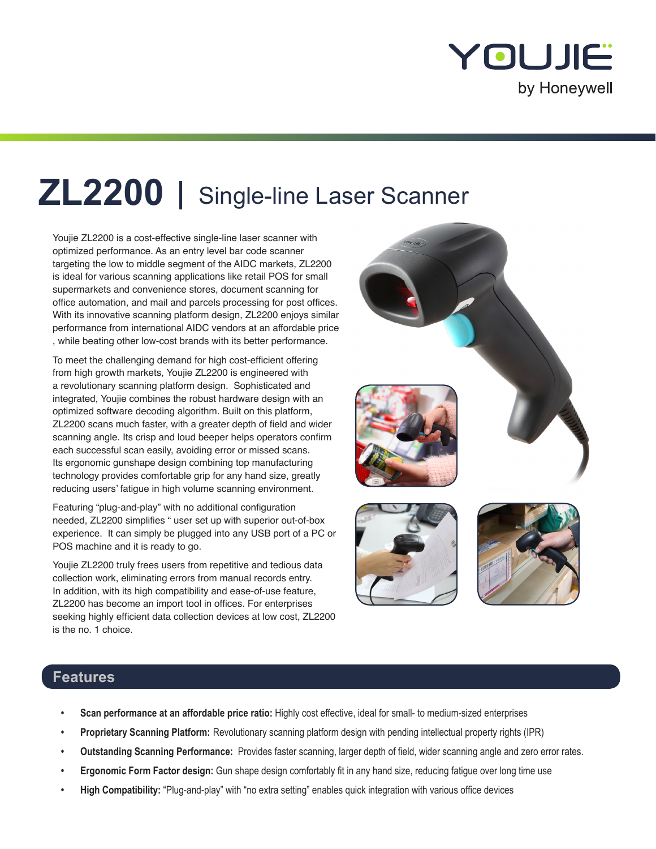

# **ZL2200** Single-line Laser Scanner

Youjie ZL2200 is a cost-effective single-line laser scanner with optimized performance. As an entry level bar code scanner targeting the low to middle segment of the AIDC markets, ZL2200 is ideal for various scanning applications like retail POS for small supermarkets and convenience stores, document scanning for office automation, and mail and parcels processing for post offices. With its innovative scanning platform design, ZL2200 enjoys similar performance from international AIDC vendors at an affordable price , while beating other low-cost brands with its better performance.

To meet the challenging demand for high cost-efficient offering from high growth markets, Youjie ZL2200 is engineered with a revolutionary scanning platform design. Sophisticated and integrated, Youjie combines the robust hardware design with an optimized software decoding algorithm. Built on this platform, ZL2200 scans much faster, with a greater depth of field and wider scanning angle. Its crisp and loud beeper helps operators confirm each successful scan easily, avoiding error or missed scans. Its ergonomic gunshape design combining top manufacturing technology provides comfortable grip for any hand size, greatly reducing users' fatigue in high volume scanning environment.

Featuring "plug-and-play" with no additional configuration needed, ZL2200 simplifies " user set up with superior out-of-box experience. It can simply be plugged into any USB port of a PC or POS machine and it is ready to go.

Youjie ZL2200 truly frees users from repetitive and tedious data collection work, eliminating errors from manual records entry. In addition, with its high compatibility and ease-of-use feature, ZL2200 has become an import tool in offices. For enterprises seeking highly efficient data collection devices at low cost, ZL2200 is the no. 1 choice.



## **Features**

- **• Scan performance at an affordable price ratio:** Highly cost effective, ideal for small- to medium-sized enterprises
- **• Proprietary Scanning Platform:** Revolutionary scanning platform design with pending intellectual property rights (IPR)
- **• Outstanding Scanning Performance:** Provides faster scanning, larger depth of field, wider scanning angle and zero error rates.
- **• Ergonomic Form Factor design:** Gun shape design comfortably fit in any hand size, reducing fatigue over long time use
- **• High Compatibility:** "Plug-and-play" with "no extra setting" enables quick integration with various office devices